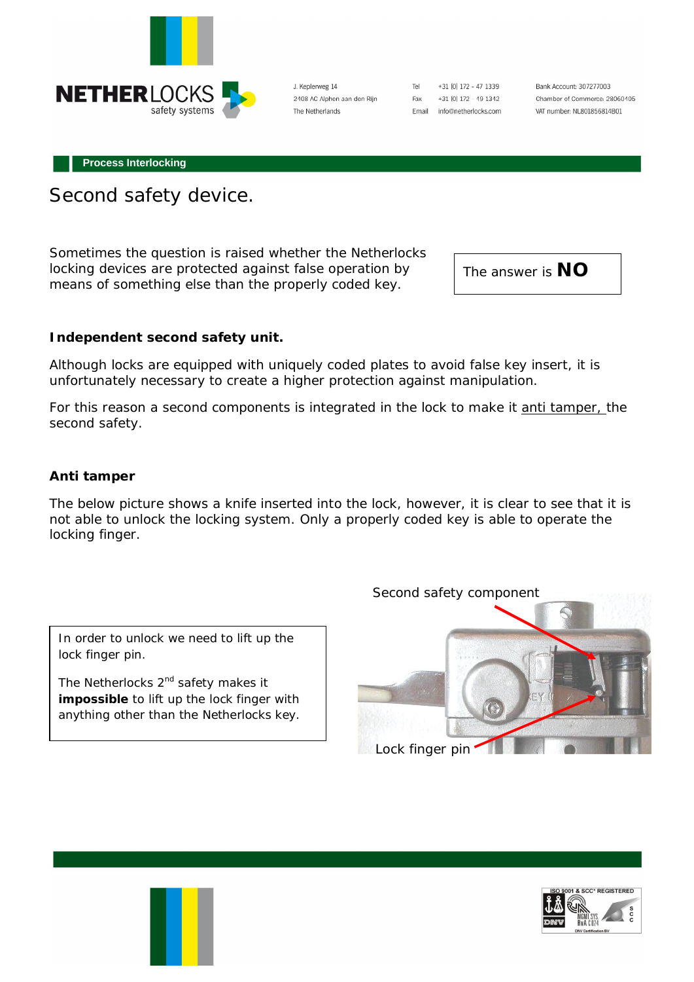

J. Keplerweg 14 2408 AC Alphen aan den Rijn The Netherlands

Tel +31 [0] 172 - 47 1339 Fax +31 (0) 172 - 49 1342 Email info@netherlocks.com

Bank Account: 307277003 Chamber of Commerce: 28060405 VAT number: NL801856814B01

**Process Interlocking**

Second safety device.

Sometimes the question is raised whether the Netherlocks locking devices are protected against false operation by means of something else than the properly coded key.

The answer is **NO**

**Independent second safety unit.** 

Although locks are equipped with uniquely coded plates to avoid false key insert, it is unfortunately necessary to create a higher protection against manipulation.

For this reason a second components is integrated in the lock to make it anti tamper, the second safety.

**Anti tamper** 

The below picture shows a knife inserted into the lock, however, it is clear to see that it is not able to unlock the locking system. Only a properly coded key is able to operate the locking finger.

In order to unlock we need to lift up the lock finger pin.

The Netherlocks 2<sup>nd</sup> safety makes it **impossible** to lift up the lock finger with anything other than the Netherlocks key.



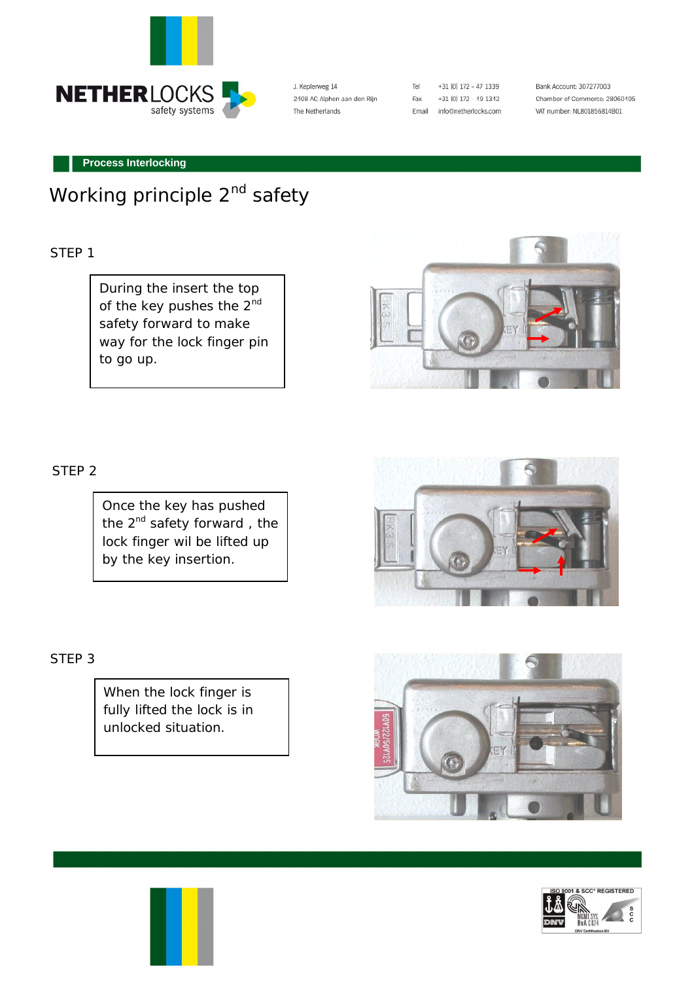

J. Keplerweg 14 2408 AC Alphen aan den Rijn The Netherlands

| Tel   | +31 [0] 172 - 47 1339 |
|-------|-----------------------|
| Fax   | +31 [0] 172 - 49 1342 |
| Email | info@netherlocks.com  |

Bank Account: 307277003 Chamber of Commerce: 28060405 VAT number: NL801856814B01

#### **Process Interlocking**

# Working principle 2<sup>nd</sup> safety

#### STEP 1

During the insert the top of the key pushes the 2<sup>nd</sup> safety forward to make way for the lock finger pin to go up.



## STEP 2

Once the key has pushed the  $2^{nd}$  safety forward, the lock finger wil be lifted up by the key insertion.

### *STEP 3*